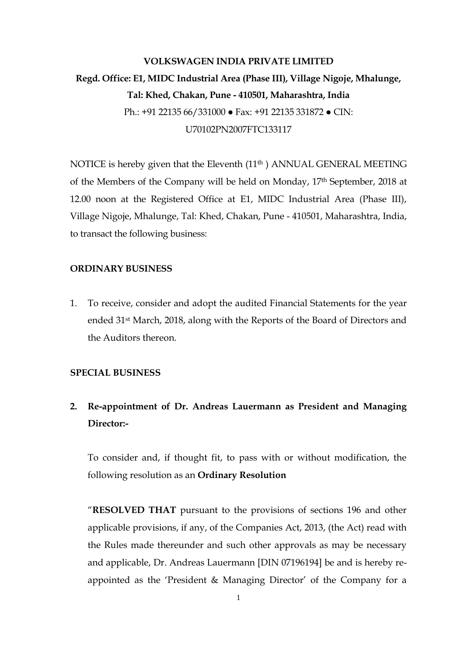# **VOLKSWAGEN INDIA PRIVATE LIMITED Regd. Office: E1, MIDC Industrial Area (Phase III), Village Nigoje, Mhalunge, Tal: Khed, Chakan, Pune - 410501, Maharashtra, India**  Ph.: +91 22135 66/331000 ● Fax: +91 22135 331872 ● CIN: U70102PN2007FTC133117

NOTICE is hereby given that the Eleventh (11<sup>th</sup>) ANNUAL GENERAL MEETING of the Members of the Company will be held on Monday, 17th September, 2018 at 12.00 noon at the Registered Office at E1, MIDC Industrial Area (Phase III), Village Nigoje, Mhalunge, Tal: Khed, Chakan, Pune - 410501, Maharashtra, India, to transact the following business:

### **ORDINARY BUSINESS**

1. To receive, consider and adopt the audited Financial Statements for the year ended 31st March, 2018, along with the Reports of the Board of Directors and the Auditors thereon.

## **SPECIAL BUSINESS**

## **2. Re-appointment of Dr. Andreas Lauermann as President and Managing Director:-**

To consider and, if thought fit, to pass with or without modification, the following resolution as an **Ordinary Resolution**

"**RESOLVED THAT** pursuant to the provisions of sections 196 and other applicable provisions, if any, of the Companies Act, 2013, (the Act) read with the Rules made thereunder and such other approvals as may be necessary and applicable, Dr. Andreas Lauermann [DIN 07196194] be and is hereby reappointed as the 'President & Managing Director' of the Company for a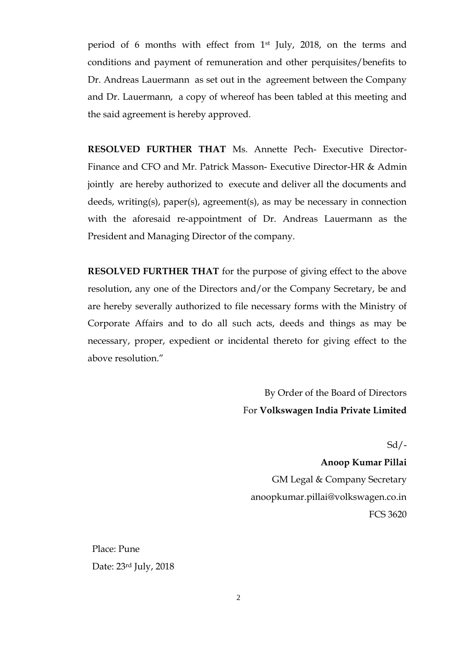period of 6 months with effect from 1st July, 2018, on the terms and conditions and payment of remuneration and other perquisites/benefits to Dr. Andreas Lauermann as set out in the agreement between the Company and Dr. Lauermann, a copy of whereof has been tabled at this meeting and the said agreement is hereby approved.

**RESOLVED FURTHER THAT** Ms. Annette Pech- Executive Director-Finance and CFO and Mr. Patrick Masson- Executive Director-HR & Admin jointly are hereby authorized to execute and deliver all the documents and deeds, writing(s), paper(s), agreement(s), as may be necessary in connection with the aforesaid re-appointment of Dr. Andreas Lauermann as the President and Managing Director of the company.

**RESOLVED FURTHER THAT** for the purpose of giving effect to the above resolution, any one of the Directors and/or the Company Secretary, be and are hereby severally authorized to file necessary forms with the Ministry of Corporate Affairs and to do all such acts, deeds and things as may be necessary, proper, expedient or incidental thereto for giving effect to the above resolution."

> By Order of the Board of Directors For **Volkswagen India Private Limited**

> > $Sd$  /-

**Anoop Kumar Pillai** GM Legal & Company Secretary anoopkumar.pillai@volkswagen.co.in FCS 3620

Place: Pune Date: 23rd July, 2018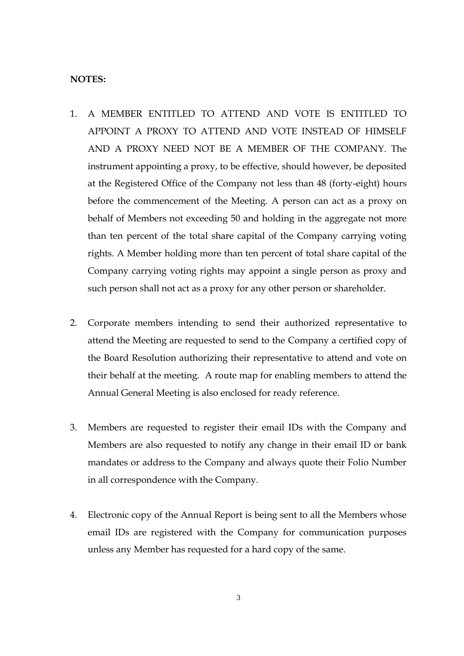#### **NOTES:**

- 1. A MEMBER ENTITLED TO ATTEND AND VOTE IS ENTITLED TO APPOINT A PROXY TO ATTEND AND VOTE INSTEAD OF HIMSELF AND A PROXY NEED NOT BE A MEMBER OF THE COMPANY. The instrument appointing a proxy, to be effective, should however, be deposited at the Registered Office of the Company not less than 48 (forty-eight) hours before the commencement of the Meeting. A person can act as a proxy on behalf of Members not exceeding 50 and holding in the aggregate not more than ten percent of the total share capital of the Company carrying voting rights. A Member holding more than ten percent of total share capital of the Company carrying voting rights may appoint a single person as proxy and such person shall not act as a proxy for any other person or shareholder.
- 2. Corporate members intending to send their authorized representative to attend the Meeting are requested to send to the Company a certified copy of the Board Resolution authorizing their representative to attend and vote on their behalf at the meeting. A route map for enabling members to attend the Annual General Meeting is also enclosed for ready reference.
- 3. Members are requested to register their email IDs with the Company and Members are also requested to notify any change in their email ID or bank mandates or address to the Company and always quote their Folio Number in all correspondence with the Company.
- 4. Electronic copy of the Annual Report is being sent to all the Members whose email IDs are registered with the Company for communication purposes unless any Member has requested for a hard copy of the same.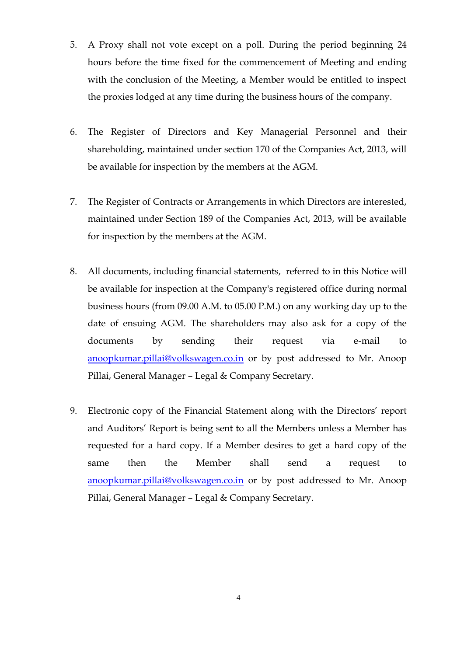- 5. A Proxy shall not vote except on a poll. During the period beginning 24 hours before the time fixed for the commencement of Meeting and ending with the conclusion of the Meeting, a Member would be entitled to inspect the proxies lodged at any time during the business hours of the company.
- 6. The Register of Directors and Key Managerial Personnel and their shareholding, maintained under section 170 of the Companies Act, 2013, will be available for inspection by the members at the AGM.
- 7. The Register of Contracts or Arrangements in which Directors are interested, maintained under Section 189 of the Companies Act, 2013, will be available for inspection by the members at the AGM.
- 8. All documents, including financial statements, referred to in this Notice will be available for inspection at the Company's registered office during normal business hours (from 09.00 A.M. to 05.00 P.M.) on any working day up to the date of ensuing AGM. The shareholders may also ask for a copy of the documents by sending their request via e-mail to [anoopkumar.pillai@volkswagen.co.in](mailto:anoopkumar.pillai@volkswagen.co.in) or by post addressed to Mr. Anoop Pillai, General Manager – Legal & Company Secretary.
- 9. Electronic copy of the Financial Statement along with the Directors' report and Auditors' Report is being sent to all the Members unless a Member has requested for a hard copy. If a Member desires to get a hard copy of the same then the Member shall send a request to [anoopkumar.pillai@volkswagen.co.in](mailto:anoopkumar.pillai@volkswagen.co.in) or by post addressed to Mr. Anoop Pillai, General Manager – Legal & Company Secretary.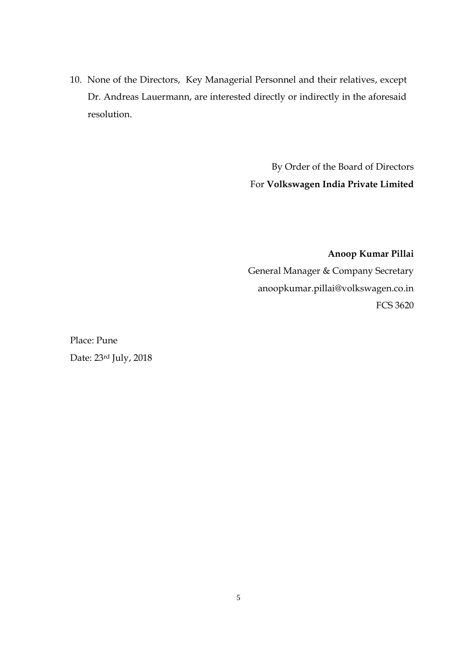10. None of the Directors, Key Managerial Personnel and their relatives, except Dr. Andreas Lauermann, are interested directly or indirectly in the aforesaid resolution.

> By Order of the Board of Directors For **Volkswagen India Private Limited**

**Anoop Kumar Pillai** General Manager & Company Secretary anoopkumar.pillai@volkswagen.co.in FCS 3620

Place: Pune Date: 23rd July, 2018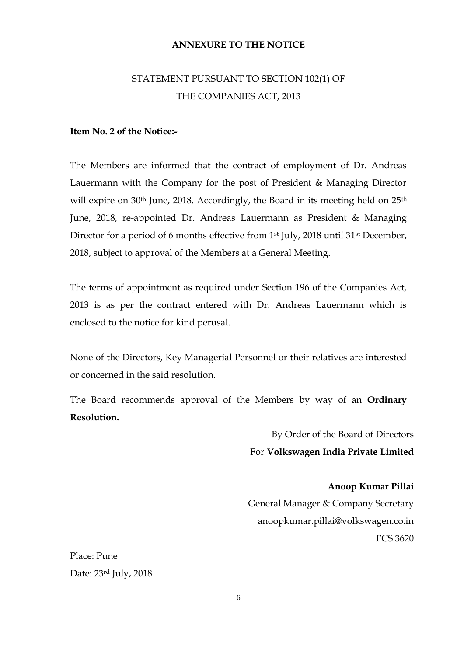### **ANNEXURE TO THE NOTICE**

## STATEMENT PURSUANT TO SECTION 102(1) OF THE COMPANIES ACT, 2013

## **Item No. 2 of the Notice:-**

The Members are informed that the contract of employment of Dr. Andreas Lauermann with the Company for the post of President & Managing Director will expire on 30<sup>th</sup> June, 2018. Accordingly, the Board in its meeting held on 25<sup>th</sup> June, 2018, re-appointed Dr. Andreas Lauermann as President & Managing Director for a period of 6 months effective from 1st July, 2018 until 31st December, 2018, subject to approval of the Members at a General Meeting.

The terms of appointment as required under Section 196 of the Companies Act, 2013 is as per the contract entered with Dr. Andreas Lauermann which is enclosed to the notice for kind perusal.

None of the Directors, Key Managerial Personnel or their relatives are interested or concerned in the said resolution.

The Board recommends approval of the Members by way of an **Ordinary Resolution.**

> By Order of the Board of Directors For **Volkswagen India Private Limited**

**Anoop Kumar Pillai** General Manager & Company Secretary anoopkumar.pillai@volkswagen.co.in FCS 3620

Place: Pune Date: 23rd July, 2018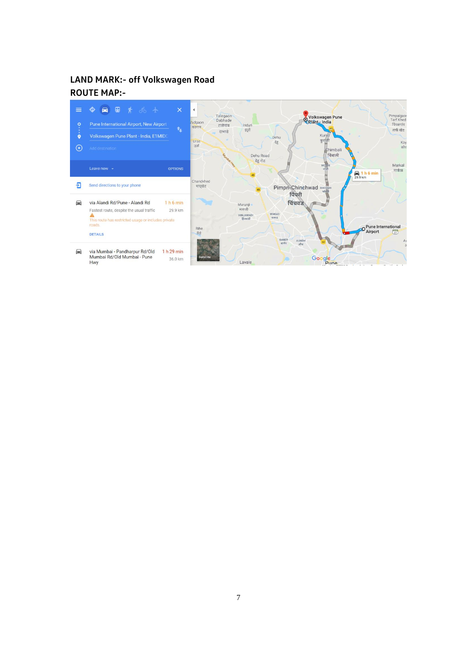## **LAND MARK:- off Volkswagen Road ROUTE MAP:-**

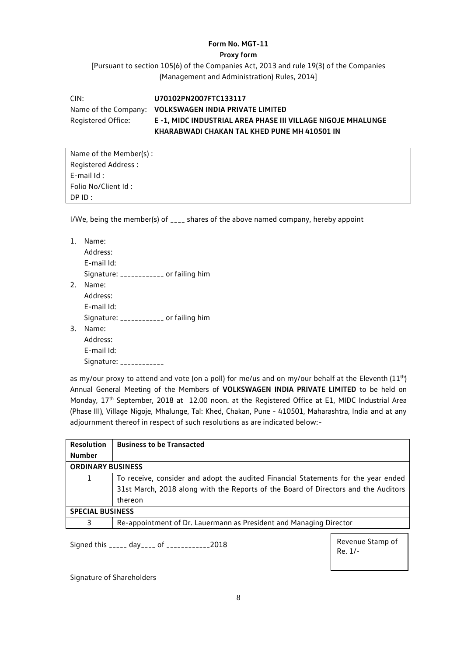#### **Form No. MGT-11**

#### **Proxy form**

[Pursuant to section 105(6) of the Companies Act, 2013 and rule 19(3) of the Companies (Management and Administration) Rules, 2014]

CIN: **U70102PN2007FTC133117** Name of the Company: **VOLKSWAGEN INDIA PRIVATE LIMITED** Registered Office: **E -1, MIDC INDUSTRIAL AREA PHASE III VILLAGE NIGOJE MHALUNGE KHARABWADI CHAKAN TAL KHED PUNE MH 410501 IN**

Name of the Member(s) : Registered Address : E-mail Id : Folio No/Client Id : DP ID :

I/We, being the member(s) of **\_\_\_\_** shares of the above named company, hereby appoint

| 1. | Name:                                  |
|----|----------------------------------------|
|    | Address:                               |
|    | E-mail Id:                             |
|    | Signature: ____________ or failing him |
| 2. | Name:                                  |
|    | Address:                               |
|    | E-mail Id:                             |
|    | Signature: ___________ or failing him  |
| 3. | Name:                                  |
|    | Address:                               |
|    | E-mail Id:                             |
|    | Signature: $\frac{1}{2}$               |

as my/our proxy to attend and vote (on a poll) for me/us and on my/our behalf at the Eleventh ( $11<sup>th</sup>$ ) Annual General Meeting of the Members of **VOLKSWAGEN INDIA PRIVATE LIMITED** to be held on Monday, 17<sup>th</sup> September, 2018 at 12.00 noon. at the Registered Office at E1, MIDC Industrial Area (Phase III), Village Nigoje, Mhalunge, Tal: Khed, Chakan, Pune - 410501, Maharashtra, India and at any adjournment thereof in respect of such resolutions as are indicated below:-

| <b>Resolution</b>        | <b>Business to be Transacted</b>                                                   |  |  |
|--------------------------|------------------------------------------------------------------------------------|--|--|
| <b>Number</b>            |                                                                                    |  |  |
| <b>ORDINARY BUSINESS</b> |                                                                                    |  |  |
| $\mathbf{1}$             | To receive, consider and adopt the audited Financial Statements for the year ended |  |  |
|                          | 31st March, 2018 along with the Reports of the Board of Directors and the Auditors |  |  |
|                          | thereon                                                                            |  |  |
| <b>SPECIAL BUSINESS</b>  |                                                                                    |  |  |
| 3                        | Re-appointment of Dr. Lauermann as President and Managing Director                 |  |  |
|                          |                                                                                    |  |  |

Signed this \_\_\_\_\_ day\_\_\_\_ of \_\_\_\_\_\_\_\_\_\_\_\_2018

Revenue Stamp of Re. 1/-

Signature of Shareholders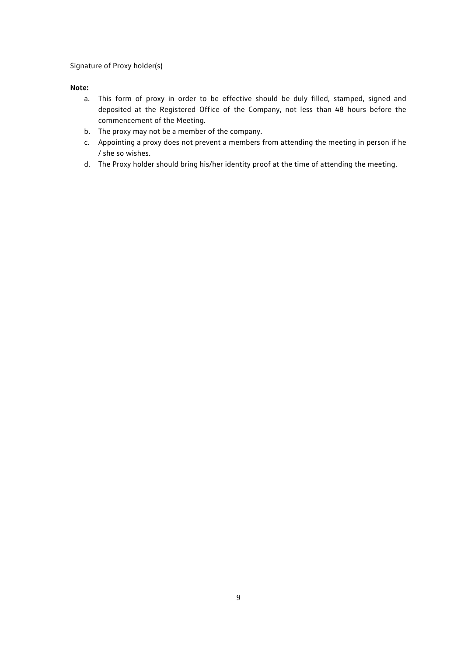Signature of Proxy holder(s)

#### **Note:**

- a. This form of proxy in order to be effective should be duly filled, stamped, signed and deposited at the Registered Office of the Company, not less than 48 hours before the commencement of the Meeting.
- b. The proxy may not be a member of the company.
- c. Appointing a proxy does not prevent a members from attending the meeting in person if he / she so wishes.
- d. The Proxy holder should bring his/her identity proof at the time of attending the meeting.